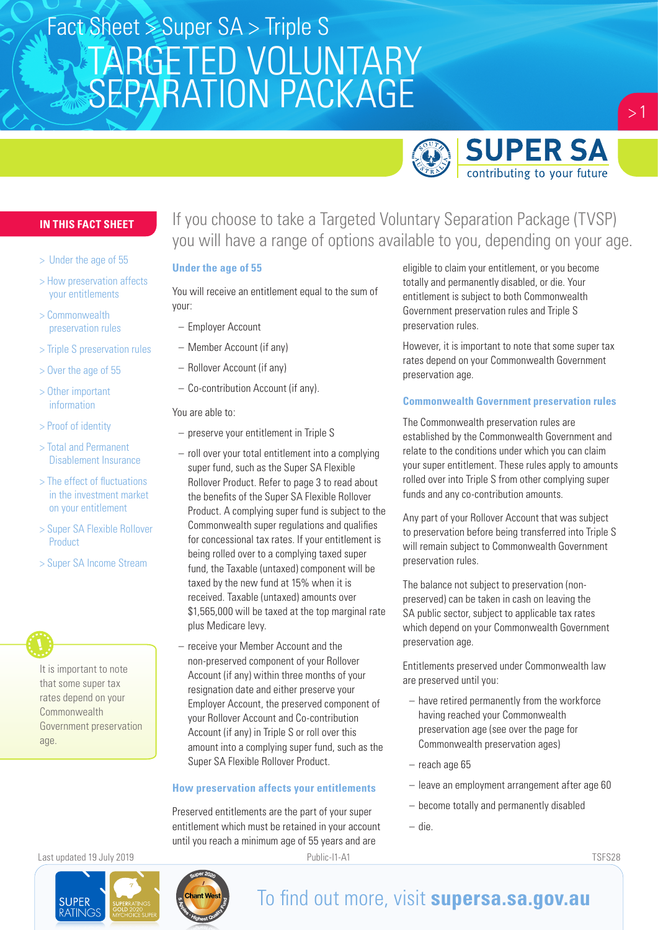

### **IN THIS FACT SHEET**

- > Under the age of 55
- > How preservation affects your entitlements
- > Commonwealth preservation rules
- > Triple S preservation rules
- > Over the age of 55
- > Other important information
- > Proof of identity
- > Total and Permanent Disablement Insurance
- > The effect of fluctuations in the investment market on your entitlement
- > Super SA Flexible Rollover Product
- > Super SA Income Stream

It is important to note that some super tax rates depend on your **Commonwealth** Government preservation age.

### If you choose to take a Targeted Voluntary Separation Package (TVSP) you will have a range of options available to you, depending on your age.

#### **Under the age of 55**

You will receive an entitlement equal to the sum of your:

- Employer Account
- Member Account (if any)
- Rollover Account (if any)
- Co-contribution Account (if any).

You are able to:

- preserve your entitlement in Triple S
- roll over your total entitlement into a complying super fund, such as the Super SA Flexible Rollover Product. Refer to page 3 to read about the benefits of the Super SA Flexible Rollover Product. A complying super fund is subject to the Commonwealth super regulations and qualifies for concessional tax rates. If your entitlement is being rolled over to a complying taxed super fund, the Taxable (untaxed) component will be taxed by the new fund at 15% when it is received. Taxable (untaxed) amounts over \$1,565,000 will be taxed at the top marginal rate plus Medicare levy.
- receive your Member Account and the non-preserved component of your Rollover Account (if any) within three months of your resignation date and either preserve your Employer Account, the preserved component of your Rollover Account and Co-contribution Account (if any) in Triple S or roll over this amount into a complying super fund, such as the Super SA Flexible Rollover Product.

#### **How preservation affects your entitlements**

Preserved entitlements are the part of your super entitlement which must be retained in your account until you reach a minimum age of 55 years and are

eligible to claim your entitlement, or you become totally and permanently disabled, or die. Your entitlement is subject to both Commonwealth Government preservation rules and Triple S preservation rules.

However, it is important to note that some super tax rates depend on your Commonwealth Government preservation age.

#### **Commonwealth Government preservation rules**

The Commonwealth preservation rules are established by the Commonwealth Government and relate to the conditions under which you can claim your super entitlement. These rules apply to amounts rolled over into Triple S from other complying super funds and any co-contribution amounts.

Any part of your Rollover Account that was subject to preservation before being transferred into Triple S will remain subject to Commonwealth Government preservation rules.

The balance not subject to preservation (nonpreserved) can be taken in cash on leaving the SA public sector, subject to applicable tax rates which depend on your Commonwealth Government preservation age.

Entitlements preserved under Commonwealth law are preserved until you:

- have retired permanently from the workforce having reached your Commonwealth preservation age (see over the page for Commonwealth preservation ages)
- reach age 65
- leave an employment arrangement after age 60
- become totally and permanently disabled
- die.



### To find out more, visit **supersa.sa.gov.au**

Last updated 19 July 2019 Public-I1-A1 TSFS28

 $> 1$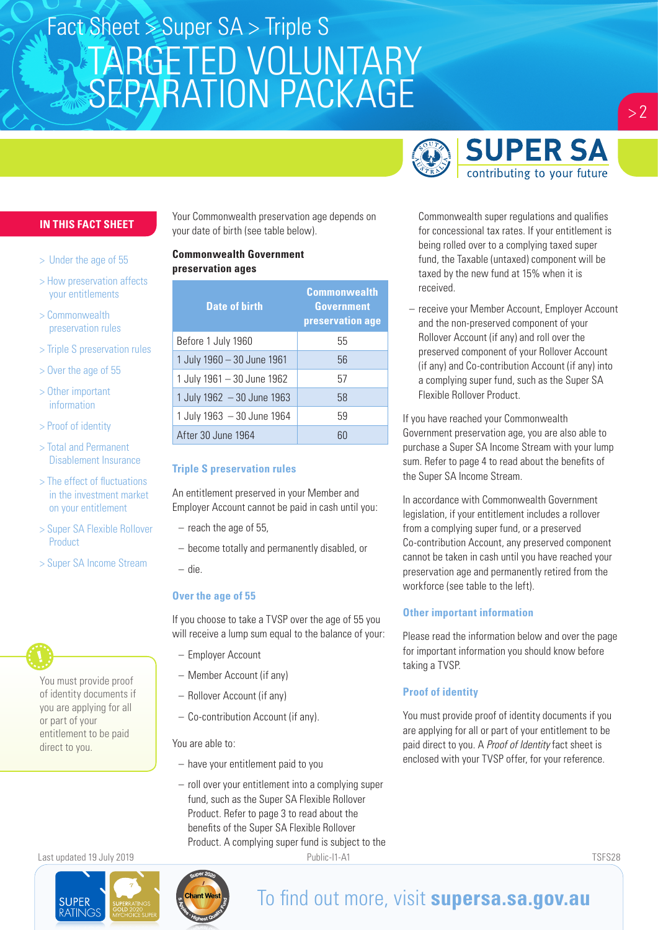### **SUPER SA** contributing to your future

#### **IN THIS FACT SHEET**

- > Under the age of 55
- > How preservation affects your entitlements
- > Commonwealth preservation rules
- > Triple S preservation rules
- > Over the age of 55
- > Other important information
- > Proof of identity
- > Total and Permanent Disablement Insurance
- > The effect of fluctuations in the investment market on your entitlement
- > Super SA Flexible Rollover Product
- > Super SA Income Stream



Your Commonwealth preservation age depends on your date of birth (see table below).

#### **Commonwealth Government preservation ages**

| <b>Date of birth</b>        | <b>Commonwealth</b><br>Government<br>preservation age |
|-----------------------------|-------------------------------------------------------|
| Before 1 July 1960          | 55                                                    |
| 1 July 1960 - 30 June 1961  | 56                                                    |
| 1 July 1961 - 30 June 1962  | 57                                                    |
| 1 July 1962 $-30$ June 1963 | 58                                                    |
| 1 July 1963 - 30 June 1964  | 59                                                    |
| After 30 June 1964          | 60                                                    |

#### **Triple S preservation rules**

An entitlement preserved in your Member and Employer Account cannot be paid in cash until you:

- reach the age of 55,
- become totally and permanently disabled, or
- die.

#### **Over the age of 55**

If you choose to take a TVSP over the age of 55 you will receive a lump sum equal to the balance of your:

- Employer Account
- Member Account (if any)
- Rollover Account (if any)
- Co-contribution Account (if any).

You are able to:

- have your entitlement paid to you
- roll over your entitlement into a complying super fund, such as the Super SA Flexible Rollover Product. Refer to page 3 to read about the benefits of the Super SA Flexible Rollover Product. A complying super fund is subject to the



## Commonwealth super regulations and qualifies for concessional tax rates. If your entitlement is being rolled over to a complying taxed super

fund, the Taxable (untaxed) component will be taxed by the new fund at 15% when it is received.

– receive your Member Account, Employer Account and the non-preserved component of your Rollover Account (if any) and roll over the preserved component of your Rollover Account (if any) and Co-contribution Account (if any) into a complying super fund, such as the Super SA Flexible Rollover Product.

If you have reached your Commonwealth Government preservation age, you are also able to purchase a Super SA Income Stream with your lump sum. Refer to page 4 to read about the benefits of the Super SA Income Stream.

In accordance with Commonwealth Government legislation, if your entitlement includes a rollover from a complying super fund, or a preserved Co-contribution Account, any preserved component cannot be taken in cash until you have reached your preservation age and permanently retired from the workforce (see table to the left).

#### **Other important information**

Please read the information below and over the page for important information you should know before taking a TVSP.

#### **Proof of identity**

You must provide proof of identity documents if you are applying for all or part of your entitlement to be paid direct to you. A *Proof of Identity* fact sheet is enclosed with your TVSP offer, for your reference.

Last updated 19 July 2019 Public-I1-A1 TSFS28

**SUPER PATINIC** 



## To find out more, visit **supersa.sa.gov.au**

 $> 2$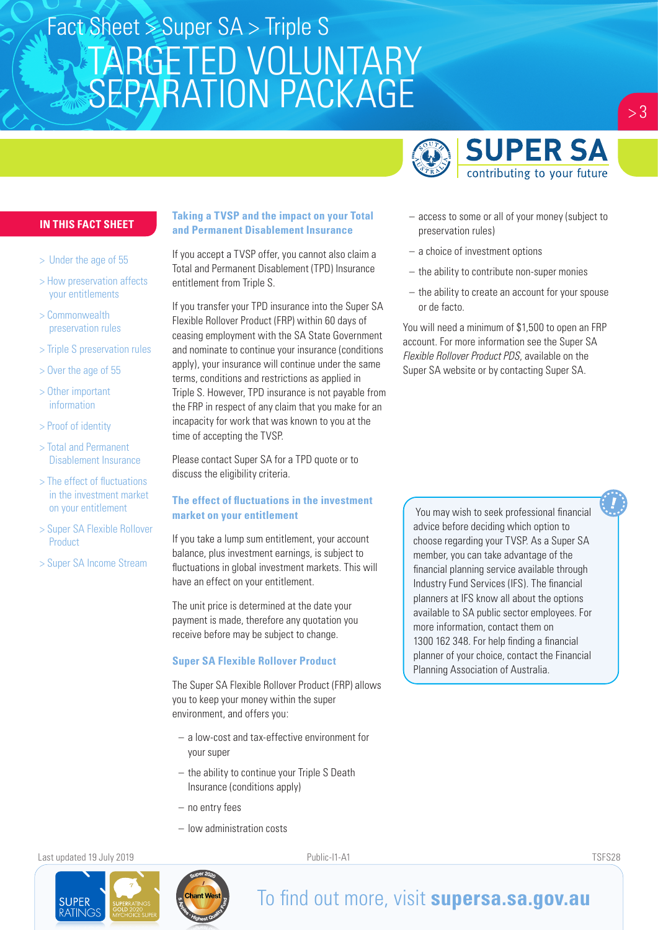

#### **IN THIS FACT SHEET**

- > Under the age of 55
- > How preservation affects your entitlements
- > Commonwealth preservation rules
- > Triple S preservation rules
- > Over the age of 55
- > Other important information
- > Proof of identity
- > Total and Permanent Disablement Insurance
- > The effect of fluctuations in the investment market on your entitlement
- > Super SA Flexible Rollover Product
- > Super SA Income Stream

#### **Taking a TVSP and the impact on your Total and Permanent Disablement Insurance**

If you accept a TVSP offer, you cannot also claim a Total and Permanent Disablement (TPD) Insurance entitlement from Triple S.

If you transfer your TPD insurance into the Super SA Flexible Rollover Product (FRP) within 60 days of ceasing employment with the SA State Government and nominate to continue your insurance (conditions apply), your insurance will continue under the same terms, conditions and restrictions as applied in Triple S. However, TPD insurance is not payable from the FRP in respect of any claim that you make for an incapacity for work that was known to you at the time of accepting the TVSP.

Please contact Super SA for a TPD quote or to discuss the eligibility criteria.

#### **The effect of fluctuations in the investment market on your entitlement**

If you take a lump sum entitlement, your account balance, plus investment earnings, is subject to fluctuations in global investment markets. This will have an effect on your entitlement.

The unit price is determined at the date your payment is made, therefore any quotation you receive before may be subject to change.

#### **Super SA Flexible Rollover Product**

The Super SA Flexible Rollover Product (FRP) allows you to keep your money within the super environment, and offers you:

- a low-cost and tax-effective environment for your super
- the ability to continue your Triple S Death Insurance (conditions apply)
- no entry fees
- low administration costs

Last updated 19 July 2019 Public-I1-A1 TSFS28

**SUPER ATING** 



- access to some or all of your money (subject to preservation rules)
- a choice of investment options
- the ability to contribute non-super monies
- the ability to create an account for your spouse or de facto.

You will need a minimum of \$1,500 to open an FRP account. For more information see the Super SA *Flexible Rollover Product PDS*, available on the Super SA website or by contacting Super SA.

You may wish to seek professional financial advice before deciding which option to choose regarding your TVSP. As a Super SA member, you can take advantage of the financial planning service available through Industry Fund Services (IFS). The financial planners at IFS know all about the options available to SA public sector employees. For more information, contact them on 1300 162 348. For help finding a financial planner of your choice, contact the Financial Planning Association of Australia.



## To find out more, visit **supersa.sa.gov.au**